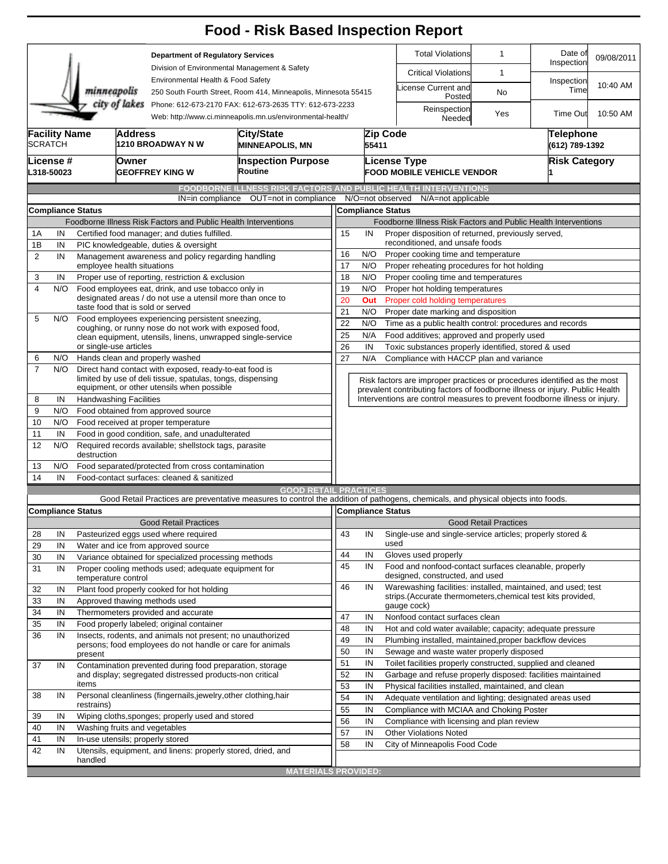|                |                                                                                        |                                                                                                                 |                                                                                                                           |                                                                                                                         | <b>Food - Risk Based Inspection Report</b>                                                                                        |                                                                          |                                                                                                                          |                                                   |                                                                                                                               |                              |                                    |            |  |  |  |
|----------------|----------------------------------------------------------------------------------------|-----------------------------------------------------------------------------------------------------------------|---------------------------------------------------------------------------------------------------------------------------|-------------------------------------------------------------------------------------------------------------------------|-----------------------------------------------------------------------------------------------------------------------------------|--------------------------------------------------------------------------|--------------------------------------------------------------------------------------------------------------------------|---------------------------------------------------|-------------------------------------------------------------------------------------------------------------------------------|------------------------------|------------------------------------|------------|--|--|--|
|                |                                                                                        |                                                                                                                 |                                                                                                                           | <b>Department of Regulatory Services</b>                                                                                |                                                                                                                                   |                                                                          |                                                                                                                          |                                                   | <b>Total Violations</b>                                                                                                       | $\mathbf{1}$                 | Date of<br>Inspection              | 09/08/2011 |  |  |  |
|                |                                                                                        |                                                                                                                 |                                                                                                                           |                                                                                                                         | Division of Environmental Management & Safety                                                                                     |                                                                          |                                                                                                                          |                                                   | <b>Critical Violations</b>                                                                                                    | 1                            |                                    |            |  |  |  |
|                |                                                                                        | minneapolis                                                                                                     |                                                                                                                           | Environmental Health & Food Safety                                                                                      | 250 South Fourth Street, Room 414, Minneapolis, Minnesota 55415                                                                   |                                                                          |                                                                                                                          |                                                   | icense Current and<br>Posted                                                                                                  | <b>No</b>                    | Inspection<br>Time                 | 10:40 AM   |  |  |  |
|                |                                                                                        |                                                                                                                 | city of lakes                                                                                                             |                                                                                                                         | Phone: 612-673-2170 FAX: 612-673-2635 TTY: 612-673-2233<br>Web: http://www.ci.minneapolis.mn.us/environmental-health/             |                                                                          |                                                                                                                          |                                                   | Reinspection<br>Needed                                                                                                        | Yes                          | Time Out                           | 10:50 AM   |  |  |  |
|                | <b>Facility Name</b><br><b>SCRATCH</b>                                                 |                                                                                                                 | Address                                                                                                                   | ∣1210 BROADWAY N W                                                                                                      | City/State<br><b>MINNEAPOLIS, MN</b>                                                                                              |                                                                          | 55411                                                                                                                    | Zip Code                                          |                                                                                                                               |                              | <b>Telephone</b><br>(612) 789-1392 |            |  |  |  |
|                | License #<br>L318-50023                                                                | Owner                                                                                                           |                                                                                                                           | <b>GEOFFREY KING W</b>                                                                                                  | <b>Inspection Purpose</b><br>Routine                                                                                              |                                                                          |                                                                                                                          | License Type<br><b>FOOD MOBILE VEHICLE VENDOR</b> |                                                                                                                               | <b>Risk Category</b>         |                                    |            |  |  |  |
|                |                                                                                        |                                                                                                                 |                                                                                                                           |                                                                                                                         | <b>FOODBORNE ILLNESS RISK FACTORS AND PUBLIC HEALTH INTERVENTIONS</b>                                                             |                                                                          |                                                                                                                          |                                                   |                                                                                                                               |                              |                                    |            |  |  |  |
|                |                                                                                        |                                                                                                                 |                                                                                                                           | IN=in compliance                                                                                                        | OUT=not in compliance                                                                                                             |                                                                          |                                                                                                                          | N/O=not observed                                  | N/A=not applicable                                                                                                            |                              |                                    |            |  |  |  |
|                |                                                                                        | <b>Compliance Status</b>                                                                                        |                                                                                                                           |                                                                                                                         |                                                                                                                                   |                                                                          |                                                                                                                          | <b>Compliance Status</b>                          |                                                                                                                               |                              |                                    |            |  |  |  |
|                |                                                                                        |                                                                                                                 |                                                                                                                           |                                                                                                                         | Foodborne Illness Risk Factors and Public Health Interventions                                                                    |                                                                          |                                                                                                                          |                                                   | Foodborne Illness Risk Factors and Public Health Interventions                                                                |                              |                                    |            |  |  |  |
| 1A             | IN                                                                                     |                                                                                                                 |                                                                                                                           | Certified food manager; and duties fulfilled.                                                                           |                                                                                                                                   | 15                                                                       | IN                                                                                                                       |                                                   | Proper disposition of returned, previously served,                                                                            |                              |                                    |            |  |  |  |
| 1B             | IN<br>PIC knowledgeable, duties & oversight                                            |                                                                                                                 |                                                                                                                           |                                                                                                                         |                                                                                                                                   |                                                                          |                                                                                                                          | reconditioned, and unsafe foods                   |                                                                                                                               |                              |                                    |            |  |  |  |
| $\overline{2}$ | IN<br>Management awareness and policy regarding handling<br>employee health situations |                                                                                                                 |                                                                                                                           |                                                                                                                         |                                                                                                                                   |                                                                          |                                                                                                                          | 16<br>N/O<br>Proper cooking time and temperature  |                                                                                                                               |                              |                                    |            |  |  |  |
|                |                                                                                        |                                                                                                                 |                                                                                                                           |                                                                                                                         |                                                                                                                                   | 17                                                                       | N/O                                                                                                                      |                                                   | Proper reheating procedures for hot holding                                                                                   |                              |                                    |            |  |  |  |
| 3              | IN                                                                                     |                                                                                                                 |                                                                                                                           | Proper use of reporting, restriction & exclusion                                                                        |                                                                                                                                   | 18                                                                       | N/O                                                                                                                      |                                                   | Proper cooling time and temperatures                                                                                          |                              |                                    |            |  |  |  |
| 4              | N/O                                                                                    | Food employees eat, drink, and use tobacco only in<br>designated areas / do not use a utensil more than once to |                                                                                                                           |                                                                                                                         |                                                                                                                                   |                                                                          | 19<br>N/O<br>Proper hot holding temperatures                                                                             |                                                   |                                                                                                                               |                              |                                    |            |  |  |  |
|                |                                                                                        |                                                                                                                 |                                                                                                                           | taste food that is sold or served                                                                                       |                                                                                                                                   | 20                                                                       | Out                                                                                                                      |                                                   | Proper cold holding temperatures                                                                                              |                              |                                    |            |  |  |  |
| 5              | N/O                                                                                    | Food employees experiencing persistent sneezing,                                                                |                                                                                                                           |                                                                                                                         |                                                                                                                                   |                                                                          | 21<br>N/O<br>Proper date marking and disposition<br>22<br>N/O<br>Time as a public health control: procedures and records |                                                   |                                                                                                                               |                              |                                    |            |  |  |  |
|                |                                                                                        |                                                                                                                 |                                                                                                                           | coughing, or runny nose do not work with exposed food,                                                                  |                                                                                                                                   | 25                                                                       | N/A                                                                                                                      |                                                   | Food additives; approved and properly used                                                                                    |                              |                                    |            |  |  |  |
|                |                                                                                        | or single-use articles                                                                                          |                                                                                                                           | clean equipment, utensils, linens, unwrapped single-service                                                             |                                                                                                                                   | 26                                                                       | IN                                                                                                                       |                                                   | Toxic substances properly identified, stored & used                                                                           |                              |                                    |            |  |  |  |
| 6              | N/O                                                                                    |                                                                                                                 |                                                                                                                           | Hands clean and properly washed                                                                                         |                                                                                                                                   | 27                                                                       | N/A                                                                                                                      |                                                   | Compliance with HACCP plan and variance                                                                                       |                              |                                    |            |  |  |  |
| $\overline{7}$ | N/O                                                                                    |                                                                                                                 |                                                                                                                           | Direct hand contact with exposed, ready-to-eat food is<br>limited by use of deli tissue, spatulas, tongs, dispensing    |                                                                                                                                   | Risk factors are improper practices or procedures identified as the most |                                                                                                                          |                                                   |                                                                                                                               |                              |                                    |            |  |  |  |
|                |                                                                                        |                                                                                                                 |                                                                                                                           | equipment, or other utensils when possible                                                                              |                                                                                                                                   |                                                                          |                                                                                                                          |                                                   | prevalent contributing factors of foodborne illness or injury. Public Health                                                  |                              |                                    |            |  |  |  |
| 8              | IN                                                                                     | <b>Handwashing Facilities</b>                                                                                   |                                                                                                                           |                                                                                                                         |                                                                                                                                   |                                                                          |                                                                                                                          |                                                   | Interventions are control measures to prevent foodborne illness or injury.                                                    |                              |                                    |            |  |  |  |
| 9              | N/O                                                                                    |                                                                                                                 |                                                                                                                           | Food obtained from approved source                                                                                      |                                                                                                                                   |                                                                          |                                                                                                                          |                                                   |                                                                                                                               |                              |                                    |            |  |  |  |
| 10             | N/O                                                                                    |                                                                                                                 |                                                                                                                           | Food received at proper temperature                                                                                     |                                                                                                                                   |                                                                          |                                                                                                                          |                                                   |                                                                                                                               |                              |                                    |            |  |  |  |
| 11             | IN                                                                                     |                                                                                                                 |                                                                                                                           | Food in good condition, safe, and unadulterated                                                                         |                                                                                                                                   |                                                                          |                                                                                                                          |                                                   |                                                                                                                               |                              |                                    |            |  |  |  |
| 12             | N/O<br>N/O                                                                             |                                                                                                                 | Required records available; shellstock tags, parasite<br>destruction<br>Food separated/protected from cross contamination |                                                                                                                         |                                                                                                                                   |                                                                          |                                                                                                                          |                                                   |                                                                                                                               |                              |                                    |            |  |  |  |
| 13<br>14       | IN                                                                                     |                                                                                                                 |                                                                                                                           | Food-contact surfaces: cleaned & sanitized                                                                              |                                                                                                                                   |                                                                          |                                                                                                                          |                                                   |                                                                                                                               |                              |                                    |            |  |  |  |
|                |                                                                                        |                                                                                                                 |                                                                                                                           |                                                                                                                         | <b>GOOD RETAIL PRACTICES</b>                                                                                                      |                                                                          |                                                                                                                          |                                                   |                                                                                                                               |                              |                                    |            |  |  |  |
|                |                                                                                        |                                                                                                                 |                                                                                                                           |                                                                                                                         | Good Retail Practices are preventative measures to control the addition of pathogens, chemicals, and physical objects into foods. |                                                                          |                                                                                                                          |                                                   |                                                                                                                               |                              |                                    |            |  |  |  |
|                |                                                                                        | <b>Compliance Status</b>                                                                                        |                                                                                                                           |                                                                                                                         |                                                                                                                                   | Compliance Status                                                        |                                                                                                                          |                                                   |                                                                                                                               |                              |                                    |            |  |  |  |
|                |                                                                                        |                                                                                                                 |                                                                                                                           | <b>Good Retail Practices</b>                                                                                            |                                                                                                                                   |                                                                          |                                                                                                                          |                                                   |                                                                                                                               | <b>Good Retail Practices</b> |                                    |            |  |  |  |
| 28             | IN                                                                                     |                                                                                                                 |                                                                                                                           | Pasteurized eggs used where required                                                                                    |                                                                                                                                   | 43                                                                       | IN                                                                                                                       |                                                   | Single-use and single-service articles; properly stored &                                                                     |                              |                                    |            |  |  |  |
| 29             | IN                                                                                     |                                                                                                                 |                                                                                                                           | Water and ice from approved source                                                                                      |                                                                                                                                   |                                                                          |                                                                                                                          | used                                              |                                                                                                                               |                              |                                    |            |  |  |  |
| 30             | IN                                                                                     |                                                                                                                 |                                                                                                                           | Variance obtained for specialized processing methods                                                                    |                                                                                                                                   | 44                                                                       | IN                                                                                                                       |                                                   | Gloves used properly                                                                                                          |                              |                                    |            |  |  |  |
| 31             | IN                                                                                     | temperature control                                                                                             |                                                                                                                           | Proper cooling methods used; adequate equipment for                                                                     |                                                                                                                                   | 45                                                                       | IN                                                                                                                       |                                                   | Food and nonfood-contact surfaces cleanable, properly<br>designed, constructed, and used                                      |                              |                                    |            |  |  |  |
| 32             | IN                                                                                     |                                                                                                                 |                                                                                                                           | Plant food properly cooked for hot holding                                                                              |                                                                                                                                   | 46                                                                       | IN                                                                                                                       |                                                   | Warewashing facilities: installed, maintained, and used; test<br>strips. (Accurate thermometers, chemical test kits provided, |                              |                                    |            |  |  |  |
| 33             | IN                                                                                     |                                                                                                                 |                                                                                                                           | Approved thawing methods used                                                                                           |                                                                                                                                   |                                                                          |                                                                                                                          |                                                   | gauge cock)                                                                                                                   |                              |                                    |            |  |  |  |
| 34             | IN                                                                                     |                                                                                                                 |                                                                                                                           | Thermometers provided and accurate                                                                                      |                                                                                                                                   | 47                                                                       | IN                                                                                                                       |                                                   | Nonfood contact surfaces clean                                                                                                |                              |                                    |            |  |  |  |
| 35             | IN                                                                                     |                                                                                                                 |                                                                                                                           | Food properly labeled; original container                                                                               |                                                                                                                                   | 48                                                                       | IN                                                                                                                       |                                                   | Hot and cold water available; capacity; adequate pressure                                                                     |                              |                                    |            |  |  |  |
| 36             | IN                                                                                     |                                                                                                                 |                                                                                                                           | Insects, rodents, and animals not present; no unauthorized<br>persons; food employees do not handle or care for animals |                                                                                                                                   | 49<br>50                                                                 | IN<br>IN                                                                                                                 |                                                   | Plumbing installed, maintained, proper backflow devices<br>Sewage and waste water properly disposed                           |                              |                                    |            |  |  |  |
| 37             |                                                                                        | present                                                                                                         |                                                                                                                           |                                                                                                                         |                                                                                                                                   | 51                                                                       | IN                                                                                                                       |                                                   | Toilet facilities properly constructed, supplied and cleaned                                                                  |                              |                                    |            |  |  |  |
|                | IN                                                                                     |                                                                                                                 | Contamination prevented during food preparation, storage<br>and display; segregated distressed products-non critical      |                                                                                                                         |                                                                                                                                   |                                                                          |                                                                                                                          |                                                   | Garbage and refuse properly disposed: facilities maintained                                                                   |                              |                                    |            |  |  |  |
|                |                                                                                        | items                                                                                                           |                                                                                                                           |                                                                                                                         |                                                                                                                                   |                                                                          |                                                                                                                          |                                                   | Physical facilities installed, maintained, and clean                                                                          |                              |                                    |            |  |  |  |
| 38             | IN                                                                                     | Personal cleanliness (fingernails, jewelry, other clothing, hair                                                |                                                                                                                           |                                                                                                                         |                                                                                                                                   | 54                                                                       | IN<br>IN                                                                                                                 |                                                   | Adequate ventilation and lighting; designated areas used                                                                      |                              |                                    |            |  |  |  |
|                |                                                                                        | restrains)                                                                                                      |                                                                                                                           |                                                                                                                         |                                                                                                                                   |                                                                          | IN                                                                                                                       |                                                   | Compliance with MCIAA and Choking Poster                                                                                      |                              |                                    |            |  |  |  |
| 39             | IN                                                                                     |                                                                                                                 |                                                                                                                           | Wiping cloths, sponges; properly used and stored                                                                        |                                                                                                                                   | 56                                                                       | IN                                                                                                                       |                                                   | Compliance with licensing and plan review                                                                                     |                              |                                    |            |  |  |  |
| 40             | IN                                                                                     |                                                                                                                 |                                                                                                                           | Washing fruits and vegetables                                                                                           |                                                                                                                                   | 57                                                                       | IN                                                                                                                       |                                                   | <b>Other Violations Noted</b>                                                                                                 |                              |                                    |            |  |  |  |
| 41             | IN                                                                                     |                                                                                                                 |                                                                                                                           | In-use utensils; properly stored                                                                                        |                                                                                                                                   | 58                                                                       | IN                                                                                                                       |                                                   | City of Minneapolis Food Code                                                                                                 |                              |                                    |            |  |  |  |
| 42             | IN                                                                                     | handled                                                                                                         |                                                                                                                           | Utensils, equipment, and linens: properly stored, dried, and                                                            |                                                                                                                                   |                                                                          |                                                                                                                          |                                                   |                                                                                                                               |                              |                                    |            |  |  |  |
|                |                                                                                        |                                                                                                                 |                                                                                                                           |                                                                                                                         | <b>MATERIALS PROVIDED:</b>                                                                                                        |                                                                          |                                                                                                                          |                                                   |                                                                                                                               |                              |                                    |            |  |  |  |